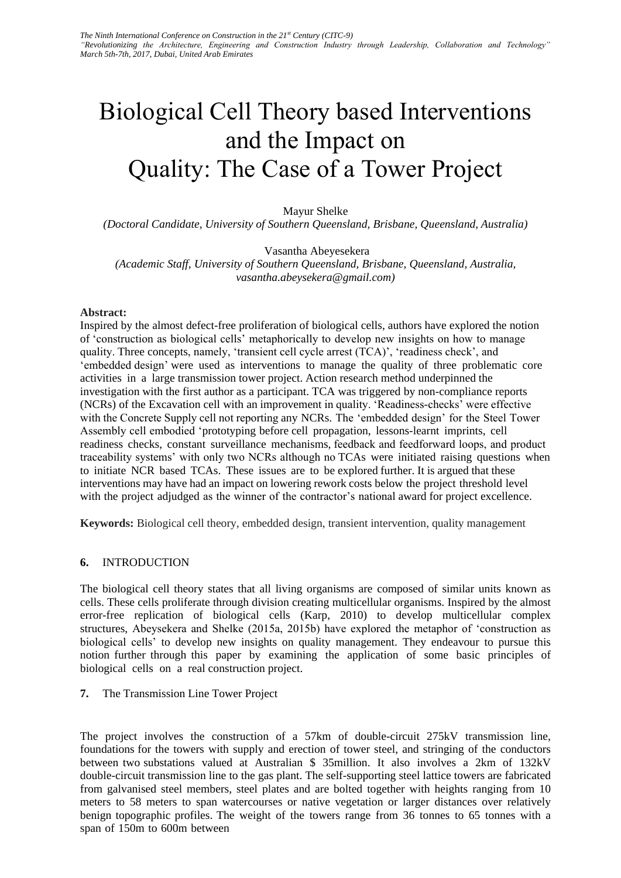# Biological Cell Theory based Interventions and the Impact on Quality: The Case of a Tower Project

Mayur Shelke

*(Doctoral Candidate, University of Southern Queensland, Brisbane, Queensland, Australia)* 

Vasantha Abeyesekera

*(Academic Staff, University of Southern Queensland, Brisbane, Queensland, Australia, vasantha.abeysekera@gmail.com)* 

#### **Abstract:**

Inspired by the almost defect-free proliferation of biological cells, authors have explored the notion of 'construction as biological cells' metaphorically to develop new insights on how to manage quality. Three concepts, namely, 'transient cell cycle arrest (TCA)', 'readiness check', and 'embedded design' were used as interventions to manage the quality of three problematic core activities in a large transmission tower project. Action research method underpinned the investigation with the first author as a participant. TCA was triggered by non-compliance reports (NCRs) of the Excavation cell with an improvement in quality. 'Readiness-checks' were effective with the Concrete Supply cell not reporting any NCRs. The 'embedded design' for the Steel Tower Assembly cell embodied 'prototyping before cell propagation, lessons-learnt imprints, cell readiness checks, constant surveillance mechanisms, feedback and feedforward loops, and product traceability systems' with only two NCRs although no TCAs were initiated raising questions when to initiate NCR based TCAs. These issues are to be explored further. It is argued that these interventions may have had an impact on lowering rework costs below the project threshold level with the project adjudged as the winner of the contractor's national award for project excellence.

**Keywords:** Biological cell theory, embedded design, transient intervention, quality management

## **6.** INTRODUCTION

The biological cell theory states that all living organisms are composed of similar units known as cells. These cells proliferate through division creating multicellular organisms. Inspired by the almost error-free replication of biological cells (Karp, 2010) to develop multicellular complex structures, Abeysekera and Shelke (2015a, 2015b) have explored the metaphor of 'construction as biological cells' to develop new insights on quality management. They endeavour to pursue this notion further through this paper by examining the application of some basic principles of biological cells on a real construction project.

#### **7.** The Transmission Line Tower Project

The project involves the construction of a 57km of double-circuit 275kV transmission line, foundations for the towers with supply and erection of tower steel, and stringing of the conductors between two substations valued at Australian \$ 35million. It also involves a 2km of 132kV double-circuit transmission line to the gas plant. The self-supporting steel lattice towers are fabricated from galvanised steel members, steel plates and are bolted together with heights ranging from 10 meters to 58 meters to span watercourses or native vegetation or larger distances over relatively benign topographic profiles. The weight of the towers range from 36 tonnes to 65 tonnes with a span of 150m to 600m between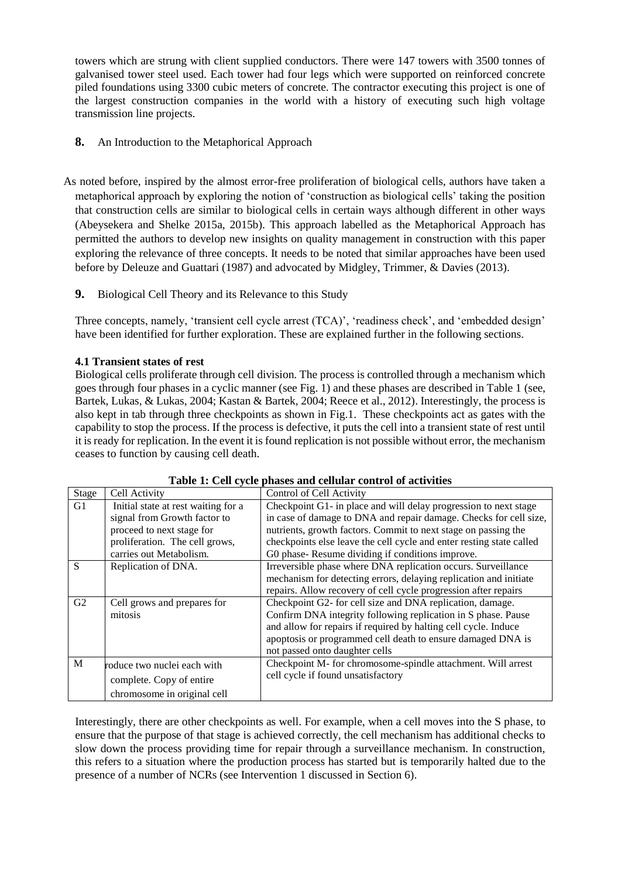towers which are strung with client supplied conductors. There were 147 towers with 3500 tonnes of galvanised tower steel used. Each tower had four legs which were supported on reinforced concrete piled foundations using 3300 cubic meters of concrete. The contractor executing this project is one of the largest construction companies in the world with a history of executing such high voltage transmission line projects.

- **8.** An Introduction to the Metaphorical Approach
- As noted before, inspired by the almost error-free proliferation of biological cells, authors have taken a metaphorical approach by exploring the notion of 'construction as biological cells' taking the position that construction cells are similar to biological cells in certain ways although different in other ways (Abeysekera and Shelke 2015a, 2015b). This approach labelled as the Metaphorical Approach has permitted the authors to develop new insights on quality management in construction with this paper exploring the relevance of three concepts. It needs to be noted that similar approaches have been used before by Deleuze and Guattari (1987) and advocated by Midgley, Trimmer, & Davies (2013).
	- **9.** Biological Cell Theory and its Relevance to this Study

Three concepts, namely, 'transient cell cycle arrest (TCA)', 'readiness check', and 'embedded design' have been identified for further exploration. These are explained further in the following sections.

# **4.1 Transient states of rest**

Biological cells proliferate through cell division. The process is controlled through a mechanism which goes through four phases in a cyclic manner (see Fig. 1) and these phases are described in Table 1 (see, Bartek, Lukas, & Lukas, 2004; Kastan & Bartek, 2004; Reece et al., 2012). Interestingly, the process is also kept in tab through three checkpoints as shown in Fig.1. These checkpoints act as gates with the capability to stop the process. If the process is defective, it puts the cell into a transient state of rest until it is ready for replication. In the event it is found replication is not possible without error, the mechanism ceases to function by causing cell death.

| <b>Stage</b>   | Cell Activity                       | Control of Cell Activity                                             |
|----------------|-------------------------------------|----------------------------------------------------------------------|
| G1             | Initial state at rest waiting for a | Checkpoint G1- in place and will delay progression to next stage     |
|                | signal from Growth factor to        | in case of damage to DNA and repair damage. Checks for cell size,    |
|                | proceed to next stage for           | nutrients, growth factors. Commit to next stage on passing the       |
|                | proliferation. The cell grows,      | checkpoints else leave the cell cycle and enter resting state called |
|                | carries out Metabolism.             | G0 phase-Resume dividing if conditions improve.                      |
| S              | Replication of DNA.                 | Irreversible phase where DNA replication occurs. Surveillance        |
|                |                                     | mechanism for detecting errors, delaying replication and initiate    |
|                |                                     | repairs. Allow recovery of cell cycle progression after repairs      |
| G <sub>2</sub> | Cell grows and prepares for         | Checkpoint G2- for cell size and DNA replication, damage.            |
|                | mitosis                             | Confirm DNA integrity following replication in S phase. Pause        |
|                |                                     | and allow for repairs if required by halting cell cycle. Induce      |
|                |                                     | apoptosis or programmed cell death to ensure damaged DNA is          |
|                |                                     | not passed onto daughter cells                                       |
| M              | roduce two nuclei each with         | Checkpoint M- for chromosome-spindle attachment. Will arrest         |
|                | complete. Copy of entire            | cell cycle if found unsatisfactory                                   |
|                |                                     |                                                                      |
|                | chromosome in original cell         |                                                                      |

| Table 1: Cell cycle phases and cellular control of activities |  |
|---------------------------------------------------------------|--|
|---------------------------------------------------------------|--|

Interestingly, there are other checkpoints as well. For example, when a cell moves into the S phase, to ensure that the purpose of that stage is achieved correctly, the cell mechanism has additional checks to slow down the process providing time for repair through a surveillance mechanism. In construction, this refers to a situation where the production process has started but is temporarily halted due to the presence of a number of NCRs (see Intervention 1 discussed in Section 6).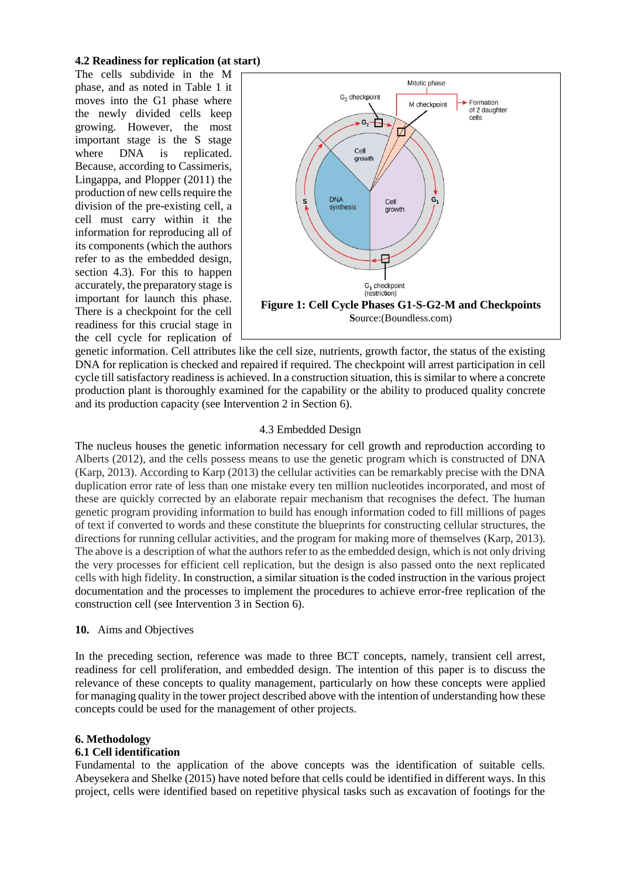## **4.2 Readiness for replication (at start)**

The cells subdivide in the M phase, and as noted in Table 1 it moves into the G1 phase where the newly divided cells keep growing. However, the most important stage is the S stage where DNA is replicated. Because, according to Cassimeris, Lingappa, and Plopper (2011) the production of new cells require the division of the pre-existing cell, a cell must carry within it the information for reproducing all of its components (which the authors refer to as the embedded design, section 4.3). For this to happen accurately, the preparatory stage is important for launch this phase. There is a checkpoint for the cell readiness for this crucial stage in the cell cycle for replication of



genetic information. Cell attributes like the cell size, nutrients, growth factor, the status of the existing DNA for replication is checked and repaired if required. The checkpoint will arrest participation in cell cycle till satisfactory readiness is achieved. In a construction situation, this is similar to where a concrete production plant is thoroughly examined for the capability or the ability to produced quality concrete and its production capacity (see Intervention 2 in Section 6).

## 4.3 Embedded Design

The nucleus houses the genetic information necessary for cell growth and reproduction according to Alberts (2012), and the cells possess means to use the genetic program which is constructed of DNA (Karp, 2013). According to Karp (2013) the cellular activities can be remarkably precise with the DNA duplication error rate of less than one mistake every ten million nucleotides incorporated, and most of these are quickly corrected by an elaborate repair mechanism that recognises the defect. The human genetic program providing information to build has enough information coded to fill millions of pages of text if converted to words and these constitute the blueprints for constructing cellular structures, the directions for running cellular activities, and the program for making more of themselves (Karp, 2013). The above is a description of what the authors refer to as the embedded design, which is not only driving the very processes for efficient cell replication, but the design is also passed onto the next replicated cells with high fidelity. In construction, a similar situation is the coded instruction in the various project documentation and the processes to implement the procedures to achieve error-free replication of the construction cell (see Intervention 3 in Section 6).

## **10.** Aims and Objectives

In the preceding section, reference was made to three BCT concepts, namely, transient cell arrest, readiness for cell proliferation, and embedded design. The intention of this paper is to discuss the relevance of these concepts to quality management, particularly on how these concepts were applied for managing quality in the tower project described above with the intention of understanding how these concepts could be used for the management of other projects.

# **6. Methodology**

## **6.1 Cell identification**

Fundamental to the application of the above concepts was the identification of suitable cells. Abeysekera and Shelke (2015) have noted before that cells could be identified in different ways. In this project, cells were identified based on repetitive physical tasks such as excavation of footings for the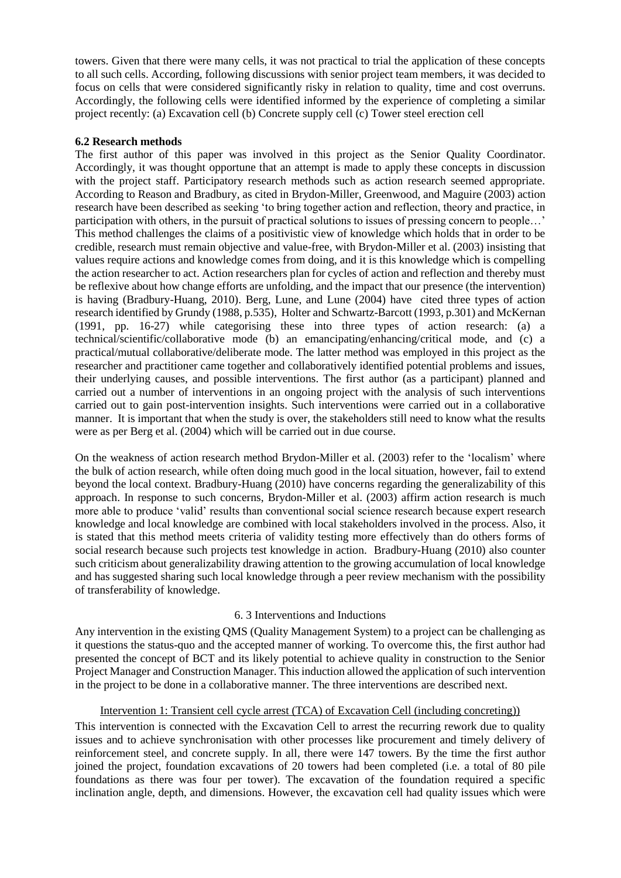towers. Given that there were many cells, it was not practical to trial the application of these concepts to all such cells. According, following discussions with senior project team members, it was decided to focus on cells that were considered significantly risky in relation to quality, time and cost overruns. Accordingly, the following cells were identified informed by the experience of completing a similar project recently: (a) Excavation cell (b) Concrete supply cell (c) Tower steel erection cell

## **6.2 Research methods**

The first author of this paper was involved in this project as the Senior Quality Coordinator. Accordingly, it was thought opportune that an attempt is made to apply these concepts in discussion with the project staff. Participatory research methods such as action research seemed appropriate. According to Reason and Bradbury, as cited in Brydon-Miller, Greenwood, and Maguire (2003) action research have been described as seeking 'to bring together action and reflection, theory and practice, in participation with others, in the pursuit of practical solutions to issues of pressing concern to people…' This method challenges the claims of a positivistic view of knowledge which holds that in order to be credible, research must remain objective and value-free, with Brydon-Miller et al. (2003) insisting that values require actions and knowledge comes from doing, and it is this knowledge which is compelling the action researcher to act. Action researchers plan for cycles of action and reflection and thereby must be reflexive about how change efforts are unfolding, and the impact that our presence (the intervention) is having (Bradbury-Huang, 2010). Berg, Lune, and Lune (2004) have cited three types of action research identified by Grundy (1988, p.535), Holter and Schwartz-Barcott (1993, p.301) and McKernan (1991, pp. 16-27) while categorising these into three types of action research: (a) a technical/scientific/collaborative mode (b) an emancipating/enhancing/critical mode, and (c) a practical/mutual collaborative/deliberate mode. The latter method was employed in this project as the researcher and practitioner came together and collaboratively identified potential problems and issues, their underlying causes, and possible interventions. The first author (as a participant) planned and carried out a number of interventions in an ongoing project with the analysis of such interventions carried out to gain post-intervention insights. Such interventions were carried out in a collaborative manner. It is important that when the study is over, the stakeholders still need to know what the results were as per Berg et al. (2004) which will be carried out in due course.

On the weakness of action research method Brydon-Miller et al. (2003) refer to the 'localism' where the bulk of action research, while often doing much good in the local situation, however, fail to extend beyond the local context. Bradbury-Huang (2010) have concerns regarding the generalizability of this approach. In response to such concerns, Brydon-Miller et al. (2003) affirm action research is much more able to produce 'valid' results than conventional social science research because expert research knowledge and local knowledge are combined with local stakeholders involved in the process. Also, it is stated that this method meets criteria of validity testing more effectively than do others forms of social research because such projects test knowledge in action. Bradbury-Huang (2010) also counter such criticism about generalizability drawing attention to the growing accumulation of local knowledge and has suggested sharing such local knowledge through a peer review mechanism with the possibility of transferability of knowledge.

## 6. 3 Interventions and Inductions

Any intervention in the existing QMS (Quality Management System) to a project can be challenging as it questions the status-quo and the accepted manner of working. To overcome this, the first author had presented the concept of BCT and its likely potential to achieve quality in construction to the Senior Project Manager and Construction Manager. This induction allowed the application of such intervention in the project to be done in a collaborative manner. The three interventions are described next.

## Intervention 1: Transient cell cycle arrest (TCA) of Excavation Cell (including concreting))

This intervention is connected with the Excavation Cell to arrest the recurring rework due to quality issues and to achieve synchronisation with other processes like procurement and timely delivery of reinforcement steel, and concrete supply. In all, there were 147 towers. By the time the first author joined the project, foundation excavations of 20 towers had been completed (i.e. a total of 80 pile foundations as there was four per tower). The excavation of the foundation required a specific inclination angle, depth, and dimensions. However, the excavation cell had quality issues which were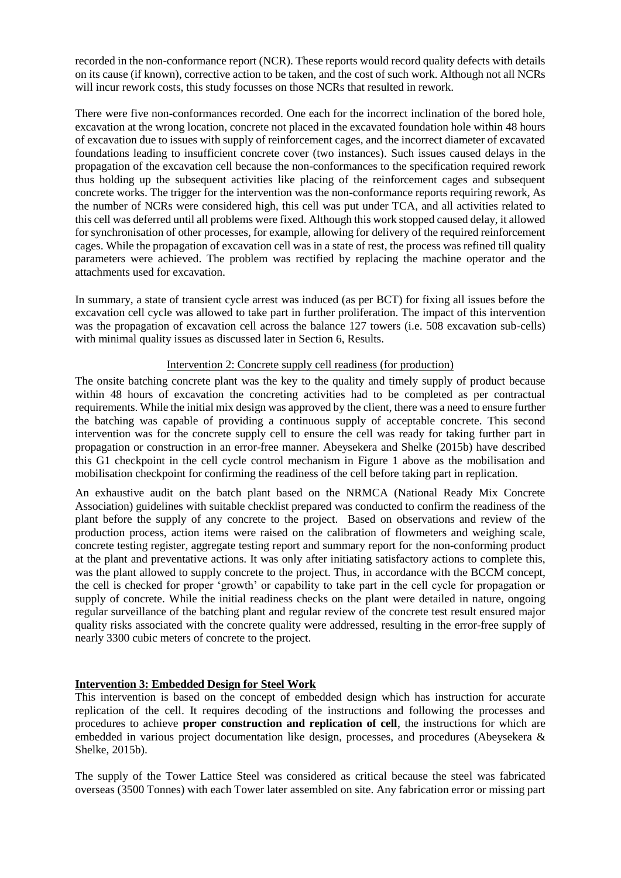recorded in the non-conformance report (NCR). These reports would record quality defects with details on its cause (if known), corrective action to be taken, and the cost of such work. Although not all NCRs will incur rework costs, this study focusses on those NCRs that resulted in rework.

There were five non-conformances recorded. One each for the incorrect inclination of the bored hole, excavation at the wrong location, concrete not placed in the excavated foundation hole within 48 hours of excavation due to issues with supply of reinforcement cages, and the incorrect diameter of excavated foundations leading to insufficient concrete cover (two instances). Such issues caused delays in the propagation of the excavation cell because the non-conformances to the specification required rework thus holding up the subsequent activities like placing of the reinforcement cages and subsequent concrete works. The trigger for the intervention was the non-conformance reports requiring rework, As the number of NCRs were considered high, this cell was put under TCA, and all activities related to this cell was deferred until all problems were fixed. Although this work stopped caused delay, it allowed for synchronisation of other processes, for example, allowing for delivery of the required reinforcement cages. While the propagation of excavation cell was in a state of rest, the process was refined till quality parameters were achieved. The problem was rectified by replacing the machine operator and the attachments used for excavation.

In summary, a state of transient cycle arrest was induced (as per BCT) for fixing all issues before the excavation cell cycle was allowed to take part in further proliferation. The impact of this intervention was the propagation of excavation cell across the balance 127 towers (i.e. 508 excavation sub-cells) with minimal quality issues as discussed later in Section 6, Results.

## Intervention 2: Concrete supply cell readiness (for production)

The onsite batching concrete plant was the key to the quality and timely supply of product because within 48 hours of excavation the concreting activities had to be completed as per contractual requirements. While the initial mix design was approved by the client, there was a need to ensure further the batching was capable of providing a continuous supply of acceptable concrete. This second intervention was for the concrete supply cell to ensure the cell was ready for taking further part in propagation or construction in an error-free manner. Abeysekera and Shelke (2015b) have described this G1 checkpoint in the cell cycle control mechanism in Figure 1 above as the mobilisation and mobilisation checkpoint for confirming the readiness of the cell before taking part in replication.

An exhaustive audit on the batch plant based on the NRMCA (National Ready Mix Concrete Association) guidelines with suitable checklist prepared was conducted to confirm the readiness of the plant before the supply of any concrete to the project. Based on observations and review of the production process, action items were raised on the calibration of flowmeters and weighing scale, concrete testing register, aggregate testing report and summary report for the non-conforming product at the plant and preventative actions. It was only after initiating satisfactory actions to complete this, was the plant allowed to supply concrete to the project. Thus, in accordance with the BCCM concept, the cell is checked for proper 'growth' or capability to take part in the cell cycle for propagation or supply of concrete. While the initial readiness checks on the plant were detailed in nature, ongoing regular surveillance of the batching plant and regular review of the concrete test result ensured major quality risks associated with the concrete quality were addressed, resulting in the error-free supply of nearly 3300 cubic meters of concrete to the project.

## **Intervention 3: Embedded Design for Steel Work**

This intervention is based on the concept of embedded design which has instruction for accurate replication of the cell. It requires decoding of the instructions and following the processes and procedures to achieve **proper construction and replication of cell**, the instructions for which are embedded in various project documentation like design, processes, and procedures (Abeysekera & Shelke, 2015b).

The supply of the Tower Lattice Steel was considered as critical because the steel was fabricated overseas (3500 Tonnes) with each Tower later assembled on site. Any fabrication error or missing part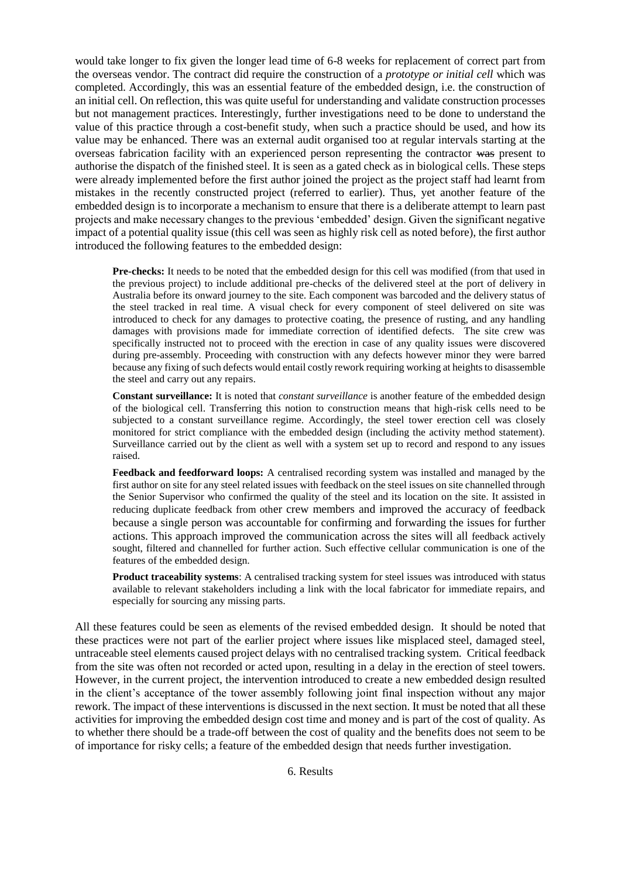would take longer to fix given the longer lead time of 6-8 weeks for replacement of correct part from the overseas vendor. The contract did require the construction of a *prototype or initial cell* which was completed. Accordingly, this was an essential feature of the embedded design, i.e. the construction of an initial cell. On reflection, this was quite useful for understanding and validate construction processes but not management practices. Interestingly, further investigations need to be done to understand the value of this practice through a cost-benefit study, when such a practice should be used, and how its value may be enhanced. There was an external audit organised too at regular intervals starting at the overseas fabrication facility with an experienced person representing the contractor was present to authorise the dispatch of the finished steel. It is seen as a gated check as in biological cells. These steps were already implemented before the first author joined the project as the project staff had learnt from mistakes in the recently constructed project (referred to earlier). Thus, yet another feature of the embedded design is to incorporate a mechanism to ensure that there is a deliberate attempt to learn past projects and make necessary changes to the previous 'embedded' design. Given the significant negative impact of a potential quality issue (this cell was seen as highly risk cell as noted before), the first author introduced the following features to the embedded design:

**Pre-checks:** It needs to be noted that the embedded design for this cell was modified (from that used in the previous project) to include additional pre-checks of the delivered steel at the port of delivery in Australia before its onward journey to the site. Each component was barcoded and the delivery status of the steel tracked in real time. A visual check for every component of steel delivered on site was introduced to check for any damages to protective coating, the presence of rusting, and any handling damages with provisions made for immediate correction of identified defects. The site crew was specifically instructed not to proceed with the erection in case of any quality issues were discovered during pre-assembly. Proceeding with construction with any defects however minor they were barred because any fixing of such defects would entail costly rework requiring working at heights to disassemble the steel and carry out any repairs.

**Constant surveillance:** It is noted that *constant surveillance* is another feature of the embedded design of the biological cell. Transferring this notion to construction means that high-risk cells need to be subjected to a constant surveillance regime. Accordingly, the steel tower erection cell was closely monitored for strict compliance with the embedded design (including the activity method statement). Surveillance carried out by the client as well with a system set up to record and respond to any issues raised.

**Feedback and feedforward loops:** A centralised recording system was installed and managed by the first author on site for any steel related issues with feedback on the steel issues on site channelled through the Senior Supervisor who confirmed the quality of the steel and its location on the site. It assisted in reducing duplicate feedback from other crew members and improved the accuracy of feedback because a single person was accountable for confirming and forwarding the issues for further actions. This approach improved the communication across the sites will all feedback actively sought, filtered and channelled for further action. Such effective cellular communication is one of the features of the embedded design.

**Product traceability systems**: A centralised tracking system for steel issues was introduced with status available to relevant stakeholders including a link with the local fabricator for immediate repairs, and especially for sourcing any missing parts.

All these features could be seen as elements of the revised embedded design. It should be noted that these practices were not part of the earlier project where issues like misplaced steel, damaged steel, untraceable steel elements caused project delays with no centralised tracking system. Critical feedback from the site was often not recorded or acted upon, resulting in a delay in the erection of steel towers. However, in the current project, the intervention introduced to create a new embedded design resulted in the client's acceptance of the tower assembly following joint final inspection without any major rework. The impact of these interventions is discussed in the next section. It must be noted that all these activities for improving the embedded design cost time and money and is part of the cost of quality. As to whether there should be a trade-off between the cost of quality and the benefits does not seem to be of importance for risky cells; a feature of the embedded design that needs further investigation.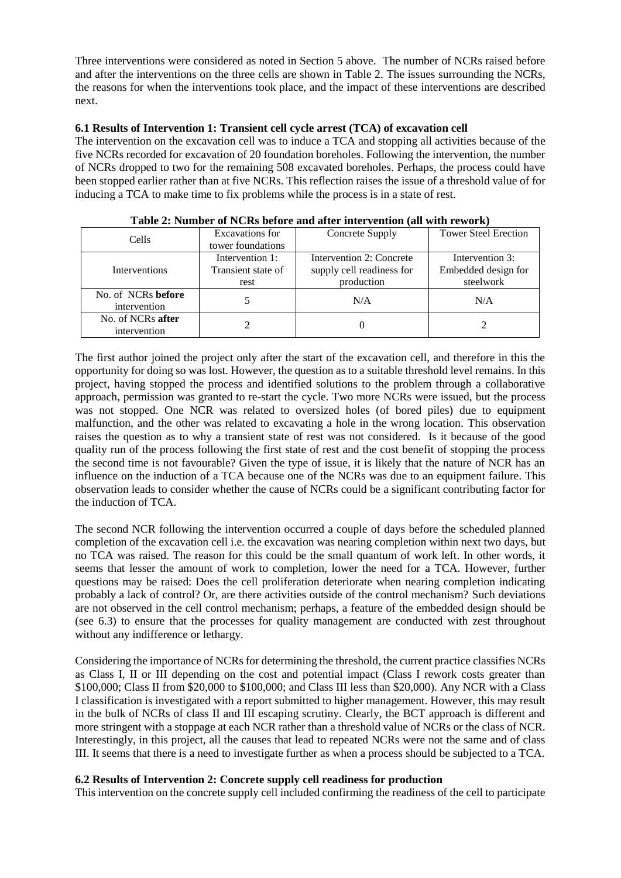Three interventions were considered as noted in Section 5 above. The number of NCRs raised before and after the interventions on the three cells are shown in Table 2. The issues surrounding the NCRs, the reasons for when the interventions took place, and the impact of these interventions are described next.

## **6.1 Results of Intervention 1: Transient cell cycle arrest (TCA) of excavation cell**

The intervention on the excavation cell was to induce a TCA and stopping all activities because of the five NCRs recorded for excavation of 20 foundation boreholes. Following the intervention, the number of NCRs dropped to two for the remaining 508 excavated boreholes. Perhaps, the process could have been stopped earlier rather than at five NCRs. This reflection raises the issue of a threshold value of for inducing a TCA to make time to fix problems while the process is in a state of rest.

| Cells              | Excavations for    | Concrete Supply           | <b>Tower Steel Erection</b> |
|--------------------|--------------------|---------------------------|-----------------------------|
|                    | tower foundations  |                           |                             |
|                    | Intervention 1:    | Intervention 2: Concrete  | Intervention 3:             |
| Interventions      | Transient state of | supply cell readiness for | Embedded design for         |
|                    | rest               | production                | steelwork                   |
| No. of NCRs before |                    | N/A                       | N/A                         |
| intervention       |                    |                           |                             |
| No. of NCRs after  |                    |                           |                             |
| intervention       |                    |                           |                             |

|  |  | Table 2: Number of NCRs before and after intervention (all with rework) |  |
|--|--|-------------------------------------------------------------------------|--|
|--|--|-------------------------------------------------------------------------|--|

The first author joined the project only after the start of the excavation cell, and therefore in this the opportunity for doing so was lost. However, the question as to a suitable threshold level remains. In this project, having stopped the process and identified solutions to the problem through a collaborative approach, permission was granted to re-start the cycle. Two more NCRs were issued, but the process was not stopped. One NCR was related to oversized holes (of bored piles) due to equipment malfunction, and the other was related to excavating a hole in the wrong location. This observation raises the question as to why a transient state of rest was not considered. Is it because of the good quality run of the process following the first state of rest and the cost benefit of stopping the process the second time is not favourable? Given the type of issue, it is likely that the nature of NCR has an influence on the induction of a TCA because one of the NCRs was due to an equipment failure. This observation leads to consider whether the cause of NCRs could be a significant contributing factor for the induction of TCA.

The second NCR following the intervention occurred a couple of days before the scheduled planned completion of the excavation cell i.e. the excavation was nearing completion within next two days, but no TCA was raised. The reason for this could be the small quantum of work left. In other words, it seems that lesser the amount of work to completion, lower the need for a TCA. However, further questions may be raised: Does the cell proliferation deteriorate when nearing completion indicating probably a lack of control? Or, are there activities outside of the control mechanism? Such deviations are not observed in the cell control mechanism; perhaps, a feature of the embedded design should be (see 6.3) to ensure that the processes for quality management are conducted with zest throughout without any indifference or lethargy.

Considering the importance of NCRs for determining the threshold, the current practice classifies NCRs as Class I, II or III depending on the cost and potential impact (Class I rework costs greater than \$100,000; Class II from \$20,000 to \$100,000; and Class III less than \$20,000). Any NCR with a Class I classification is investigated with a report submitted to higher management. However, this may result in the bulk of NCRs of class II and III escaping scrutiny. Clearly, the BCT approach is different and more stringent with a stoppage at each NCR rather than a threshold value of NCRs or the class of NCR. Interestingly, in this project, all the causes that lead to repeated NCRs were not the same and of class III. It seems that there is a need to investigate further as when a process should be subjected to a TCA.

# **6.2 Results of Intervention 2: Concrete supply cell readiness for production**

This intervention on the concrete supply cell included confirming the readiness of the cell to participate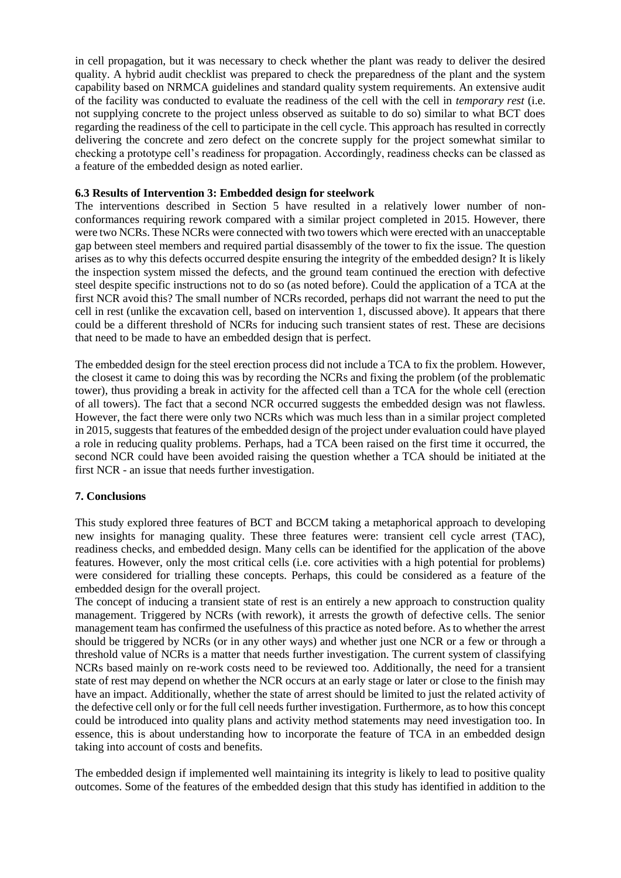in cell propagation, but it was necessary to check whether the plant was ready to deliver the desired quality. A hybrid audit checklist was prepared to check the preparedness of the plant and the system capability based on NRMCA guidelines and standard quality system requirements. An extensive audit of the facility was conducted to evaluate the readiness of the cell with the cell in *temporary rest* (i.e. not supplying concrete to the project unless observed as suitable to do so) similar to what BCT does regarding the readiness of the cell to participate in the cell cycle. This approach has resulted in correctly delivering the concrete and zero defect on the concrete supply for the project somewhat similar to checking a prototype cell's readiness for propagation. Accordingly, readiness checks can be classed as a feature of the embedded design as noted earlier.

## **6.3 Results of Intervention 3: Embedded design for steelwork**

The interventions described in Section 5 have resulted in a relatively lower number of nonconformances requiring rework compared with a similar project completed in 2015. However, there were two NCRs. These NCRs were connected with two towers which were erected with an unacceptable gap between steel members and required partial disassembly of the tower to fix the issue. The question arises as to why this defects occurred despite ensuring the integrity of the embedded design? It is likely the inspection system missed the defects, and the ground team continued the erection with defective steel despite specific instructions not to do so (as noted before). Could the application of a TCA at the first NCR avoid this? The small number of NCRs recorded, perhaps did not warrant the need to put the cell in rest (unlike the excavation cell, based on intervention 1, discussed above). It appears that there could be a different threshold of NCRs for inducing such transient states of rest. These are decisions that need to be made to have an embedded design that is perfect.

The embedded design for the steel erection process did not include a TCA to fix the problem. However, the closest it came to doing this was by recording the NCRs and fixing the problem (of the problematic tower), thus providing a break in activity for the affected cell than a TCA for the whole cell (erection of all towers). The fact that a second NCR occurred suggests the embedded design was not flawless. However, the fact there were only two NCRs which was much less than in a similar project completed in 2015, suggests that features of the embedded design of the project under evaluation could have played a role in reducing quality problems. Perhaps, had a TCA been raised on the first time it occurred, the second NCR could have been avoided raising the question whether a TCA should be initiated at the first NCR - an issue that needs further investigation.

# **7. Conclusions**

This study explored three features of BCT and BCCM taking a metaphorical approach to developing new insights for managing quality. These three features were: transient cell cycle arrest (TAC), readiness checks, and embedded design. Many cells can be identified for the application of the above features. However, only the most critical cells (i.e. core activities with a high potential for problems) were considered for trialling these concepts. Perhaps, this could be considered as a feature of the embedded design for the overall project.

The concept of inducing a transient state of rest is an entirely a new approach to construction quality management. Triggered by NCRs (with rework), it arrests the growth of defective cells. The senior management team has confirmed the usefulness of this practice as noted before. As to whether the arrest should be triggered by NCRs (or in any other ways) and whether just one NCR or a few or through a threshold value of NCRs is a matter that needs further investigation. The current system of classifying NCRs based mainly on re-work costs need to be reviewed too. Additionally, the need for a transient state of rest may depend on whether the NCR occurs at an early stage or later or close to the finish may have an impact. Additionally, whether the state of arrest should be limited to just the related activity of the defective cell only or for the full cell needs further investigation. Furthermore, as to how this concept could be introduced into quality plans and activity method statements may need investigation too. In essence, this is about understanding how to incorporate the feature of TCA in an embedded design taking into account of costs and benefits.

The embedded design if implemented well maintaining its integrity is likely to lead to positive quality outcomes. Some of the features of the embedded design that this study has identified in addition to the